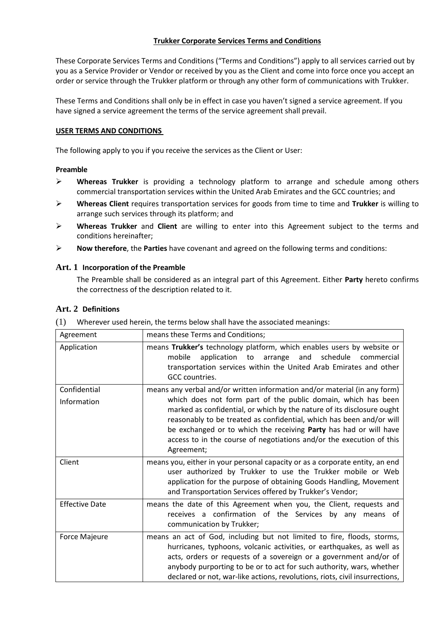### **Trukker Corporate Services Terms and Conditions**

These Corporate Services Terms and Conditions ("Terms and Conditions") apply to all services carried out by you as a Service Provider or Vendor or received by you as the Client and come into force once you accept an order or service through the Trukker platform or through any other form of communications with Trukker.

These Terms and Conditions shall only be in effect in case you haven't signed a service agreement. If you have signed a service agreement the terms of the service agreement shall prevail.

### **USER TERMS AND CONDITIONS**

The following apply to you if you receive the services as the Client or User:

### **Preamble**

- ➢ **Whereas Trukker** is providing a technology platform to arrange and schedule among others commercial transportation services within the United Arab Emirates and the GCC countries; and
- ➢ **Whereas Client** requires transportation services for goods from time to time and **Trukker** is willing to arrange such services through its platform; and
- ➢ **Whereas Trukker** and **Client** are willing to enter into this Agreement subject to the terms and conditions hereinafter;
- ➢ **Now therefore**, the **Parties** have covenant and agreed on the following terms and conditions:

### **Art. 1 Incorporation of the Preamble**

The Preamble shall be considered as an integral part of this Agreement. Either **Party** hereto confirms the correctness of the description related to it.

# **Art. 2 Definitions**

| Wherever used herein, the terms below shall have the associated meanings: | (1) |  |  |  |
|---------------------------------------------------------------------------|-----|--|--|--|
|---------------------------------------------------------------------------|-----|--|--|--|

| Agreement                   | means these Terms and Conditions;                                                                                                                                                                                                                                                                                                                                                                                                                       |
|-----------------------------|---------------------------------------------------------------------------------------------------------------------------------------------------------------------------------------------------------------------------------------------------------------------------------------------------------------------------------------------------------------------------------------------------------------------------------------------------------|
| Application                 | means Trukker's technology platform, which enables users by website or<br>application to<br>and schedule<br>mobile<br>arrange<br>commercial<br>transportation services within the United Arab Emirates and other<br>GCC countries.                                                                                                                                                                                                                      |
| Confidential<br>Information | means any verbal and/or written information and/or material (in any form)<br>which does not form part of the public domain, which has been<br>marked as confidential, or which by the nature of its disclosure ought<br>reasonably to be treated as confidential, which has been and/or will<br>be exchanged or to which the receiving Party has had or will have<br>access to in the course of negotiations and/or the execution of this<br>Agreement; |
| Client                      | means you, either in your personal capacity or as a corporate entity, an end<br>user authorized by Trukker to use the Trukker mobile or Web<br>application for the purpose of obtaining Goods Handling, Movement<br>and Transportation Services offered by Trukker's Vendor;                                                                                                                                                                            |
| <b>Effective Date</b>       | means the date of this Agreement when you, the Client, requests and<br>receives a confirmation of the Services by any means of<br>communication by Trukker;                                                                                                                                                                                                                                                                                             |
| Force Majeure               | means an act of God, including but not limited to fire, floods, storms,<br>hurricanes, typhoons, volcanic activities, or earthquakes, as well as<br>acts, orders or requests of a sovereign or a government and/or of<br>anybody purporting to be or to act for such authority, wars, whether<br>declared or not, war-like actions, revolutions, riots, civil insurrections,                                                                            |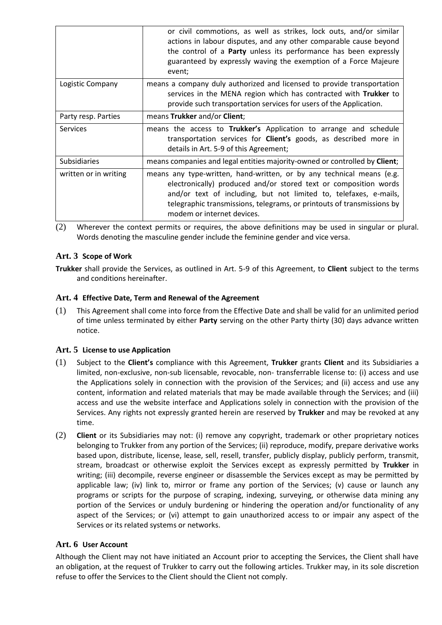|                       | or civil commotions, as well as strikes, lock outs, and/or similar<br>actions in labour disputes, and any other comparable cause beyond<br>the control of a <b>Party</b> unless its performance has been expressly<br>guaranteed by expressly waving the exemption of a Force Majeure<br>event;                        |
|-----------------------|------------------------------------------------------------------------------------------------------------------------------------------------------------------------------------------------------------------------------------------------------------------------------------------------------------------------|
| Logistic Company      | means a company duly authorized and licensed to provide transportation<br>services in the MENA region which has contracted with Trukker to<br>provide such transportation services for users of the Application.                                                                                                       |
| Party resp. Parties   | means Trukker and/or Client;                                                                                                                                                                                                                                                                                           |
| <b>Services</b>       | means the access to Trukker's Application to arrange and schedule<br>transportation services for <b>Client's</b> goods, as described more in<br>details in Art. 5-9 of this Agreement;                                                                                                                                 |
| <b>Subsidiaries</b>   | means companies and legal entities majority-owned or controlled by Client;                                                                                                                                                                                                                                             |
| written or in writing | means any type-written, hand-written, or by any technical means (e.g.<br>electronically) produced and/or stored text or composition words<br>and/or text of including, but not limited to, telefaxes, e-mails,<br>telegraphic transmissions, telegrams, or printouts of transmissions by<br>modem or internet devices. |

(2) Wherever the context permits or requires, the above definitions may be used in singular or plural. Words denoting the masculine gender include the feminine gender and vice versa.

# **Art. 3 Scope of Work**

**Trukker** shall provide the Services, as outlined in Art. 5-9 of this Agreement, to **Client** subject to the terms and conditions hereinafter.

# **Art. 4 Effective Date, Term and Renewal of the Agreement**

(1) This Agreement shall come into force from the Effective Date and shall be valid for an unlimited period of time unless terminated by either **Party** serving on the other Party thirty (30) days advance written notice.

# **Art. 5 License to use Application**

- (1) Subject to the **Client's** compliance with this Agreement, **Trukker** grants **Client** and its Subsidiaries a limited, non-exclusive, non-sub licensable, revocable, non- transferrable license to: (i) access and use the Applications solely in connection with the provision of the Services; and (ii) access and use any content, information and related materials that may be made available through the Services; and (iii) access and use the website interface and Applications solely in connection with the provision of the Services. Any rights not expressly granted herein are reserved by **Trukker** and may be revoked at any time.
- (2) **Client** or its Subsidiaries may not: (i) remove any copyright, trademark or other proprietary notices belonging to Trukker from any portion of the Services; (ii) reproduce, modify, prepare derivative works based upon, distribute, license, lease, sell, resell, transfer, publicly display, publicly perform, transmit, stream, broadcast or otherwise exploit the Services except as expressly permitted by **Trukker** in writing; (iii) decompile, reverse engineer or disassemble the Services except as may be permitted by applicable law; (iv) link to, mirror or frame any portion of the Services; (v) cause or launch any programs or scripts for the purpose of scraping, indexing, surveying, or otherwise data mining any portion of the Services or unduly burdening or hindering the operation and/or functionality of any aspect of the Services; or (vi) attempt to gain unauthorized access to or impair any aspect of the Services or its related systems or networks.

# **Art. 6 User Account**

Although the Client may not have initiated an Account prior to accepting the Services, the Client shall have an obligation, at the request of Trukker to carry out the following articles. Trukker may, in its sole discretion refuse to offer the Services to the Client should the Client not comply.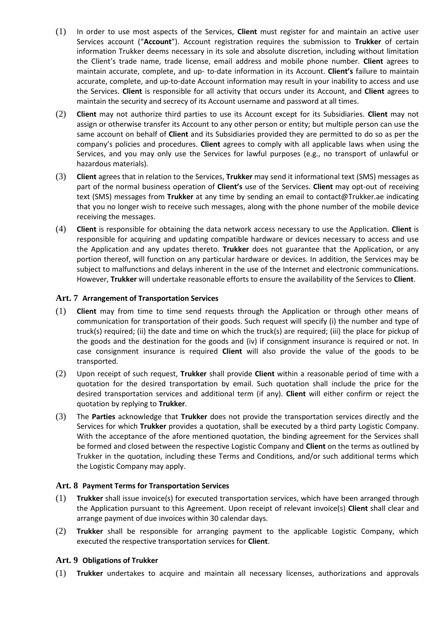- (1) In order to use most aspects of the Services, **Client** must register for and maintain an active user Services account ("**Account**"). Account registration requires the submission to **Trukker** of certain information Trukker deems necessary in its sole and absolute discretion, including without limitation the Client's trade name, trade license, email address and mobile phone number. **Client** agrees to maintain accurate, complete, and up- to-date information in its Account. **Client's** failure to maintain accurate, complete, and up-to-date Account information may result in your inability to access and use the Services. **Client** is responsible for all activity that occurs under its Account, and **Client** agrees to maintain the security and secrecy of its Account username and password at all times.
- (2) **Client** may not authorize third parties to use its Account except for its Subsidiaries. **Client** may not assign or otherwise transfer its Account to any other person or entity; but multiple person can use the same account on behalf of **Client** and its Subsidiaries provided they are permitted to do so as per the company's policies and procedures. **Client** agrees to comply with all applicable laws when using the Services, and you may only use the Services for lawful purposes (e.g., no transport of unlawful or hazardous materials).
- (3) **Client** agrees that in relation to the Services, **Trukker** may send it informational text (SMS) messages as part of the normal business operation of **Client's** use of the Services. **Client** may opt-out of receiving text (SMS) messages from **Trukker** at any time by sending an email to contact@Trukker.ae indicating that you no longer wish to receive such messages, along with the phone number of the mobile device receiving the messages.
- (4) **Client** is responsible for obtaining the data network access necessary to use the Application. **Client** is responsible for acquiring and updating compatible hardware or devices necessary to access and use the Application and any updates thereto. **Trukker** does not guarantee that the Application, or any portion thereof, will function on any particular hardware or devices. In addition, the Services may be subject to malfunctions and delays inherent in the use of the Internet and electronic communications. However, **Trukker** will undertake reasonable efforts to ensure the availability of the Services to **Client**.

# **Art. 7 Arrangement of Transportation Services**

- (1) **Client** may from time to time send requests through the Application or through other means of communication for transportation of their goods. Such request will specify (i) the number and type of truck(s) required; (ii) the date and time on which the truck(s) are required; (iii) the place for pickup of the goods and the destination for the goods and (iv) if consignment insurance is required or not. In case consignment insurance is required **Client** will also provide the value of the goods to be transported.
- (2) Upon receipt of such request, **Trukker** shall provide **Client** within a reasonable period of time with a quotation for the desired transportation by email. Such quotation shall include the price for the desired transportation services and additional term (if any). **Client** will either confirm or reject the quotation by replying to **Trukker**.
- (3) The **Parties** acknowledge that **Trukker** does not provide the transportation services directly and the Services for which **Trukker** provides a quotation, shall be executed by a third party Logistic Company. With the acceptance of the afore mentioned quotation, the binding agreement for the Services shall be formed and closed between the respective Logistic Company and **Client** on the terms as outlined by Trukker in the quotation, including these Terms and Conditions, and/or such additional terms which the Logistic Company may apply.

#### **Art. 8 Payment Terms for Transportation Services**

- (1) **Trukker** shall issue invoice(s) for executed transportation services, which have been arranged through the Application pursuant to this Agreement. Upon receipt of relevant invoice(s) **Client** shall clear and arrange payment of due invoices within 30 calendar days.
- (2) **Trukker** shall be responsible for arranging payment to the applicable Logistic Company, which executed the respective transportation services for **Client**.

#### **Art. 9 Obligations of Trukker**

(1) **Trukker** undertakes to acquire and maintain all necessary licenses, authorizations and approvals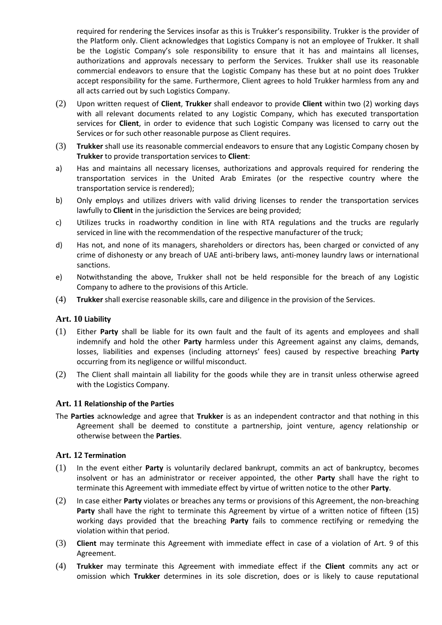required for rendering the Services insofar as this is Trukker's responsibility. Trukker is the provider of the Platform only. Client acknowledges that Logistics Company is not an employee of Trukker. It shall be the Logistic Company's sole responsibility to ensure that it has and maintains all licenses, authorizations and approvals necessary to perform the Services. Trukker shall use its reasonable commercial endeavors to ensure that the Logistic Company has these but at no point does Trukker accept responsibility for the same. Furthermore, Client agrees to hold Trukker harmless from any and all acts carried out by such Logistics Company.

- (2) Upon written request of **Client**, **Trukker** shall endeavor to provide **Client** within two (2) working days with all relevant documents related to any Logistic Company, which has executed transportation services for **Client**, in order to evidence that such Logistic Company was licensed to carry out the Services or for such other reasonable purpose as Client requires.
- (3) **Trukker** shall use its reasonable commercial endeavors to ensure that any Logistic Company chosen by **Trukker** to provide transportation services to **Client**:
- a) Has and maintains all necessary licenses, authorizations and approvals required for rendering the transportation services in the United Arab Emirates (or the respective country where the transportation service is rendered);
- b) Only employs and utilizes drivers with valid driving licenses to render the transportation services lawfully to **Client** in the jurisdiction the Services are being provided;
- c) Utilizes trucks in roadworthy condition in line with RTA regulations and the trucks are regularly serviced in line with the recommendation of the respective manufacturer of the truck;
- d) Has not, and none of its managers, shareholders or directors has, been charged or convicted of any crime of dishonesty or any breach of UAE anti-bribery laws, anti-money laundry laws or international sanctions.
- e) Notwithstanding the above, Trukker shall not be held responsible for the breach of any Logistic Company to adhere to the provisions of this Article.
- (4) **Trukker** shall exercise reasonable skills, care and diligence in the provision of the Services.

#### **Art. 10 Liability**

- (1) Either **Party** shall be liable for its own fault and the fault of its agents and employees and shall indemnify and hold the other **Party** harmless under this Agreement against any claims, demands, losses, liabilities and expenses (including attorneys' fees) caused by respective breaching **Party**  occurring from its negligence or willful misconduct.
- (2) The Client shall maintain all liability for the goods while they are in transit unless otherwise agreed with the Logistics Company.

#### **Art. 11 Relationship of the Parties**

The **Parties** acknowledge and agree that **Trukker** is as an independent contractor and that nothing in this Agreement shall be deemed to constitute a partnership, joint venture, agency relationship or otherwise between the **Parties**.

### **Art. 12 Termination**

- (1) In the event either **Party** is voluntarily declared bankrupt, commits an act of bankruptcy, becomes insolvent or has an administrator or receiver appointed, the other **Party** shall have the right to terminate this Agreement with immediate effect by virtue of written notice to the other **Party**.
- (2) In case either **Party** violates or breaches any terms or provisions of this Agreement, the non-breaching **Party** shall have the right to terminate this Agreement by virtue of a written notice of fifteen (15) working days provided that the breaching **Party** fails to commence rectifying or remedying the violation within that period.
- (3) **Client** may terminate this Agreement with immediate effect in case of a violation of Art. 9 of this Agreement.
- (4) **Trukker** may terminate this Agreement with immediate effect if the **Client** commits any act or omission which **Trukker** determines in its sole discretion, does or is likely to cause reputational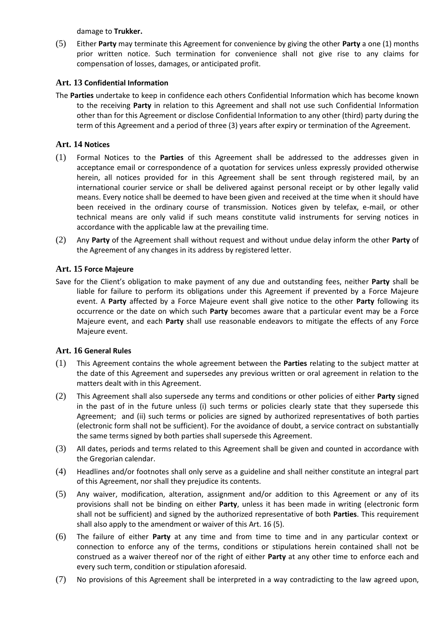damage to **Trukker.** 

(5) Either **Party** may terminate this Agreement for convenience by giving the other **Party** a one (1) months prior written notice. Such termination for convenience shall not give rise to any claims for compensation of losses, damages, or anticipated profit.

# **Art. 13 Confidential Information**

The **Parties** undertake to keep in confidence each others Confidential Information which has become known to the receiving **Party** in relation to this Agreement and shall not use such Confidential Information other than for this Agreement or disclose Confidential Information to any other (third) party during the term of this Agreement and a period of three (3) years after expiry or termination of the Agreement.

# **Art. 14 Notices**

- (1) Formal Notices to the **Parties** of this Agreement shall be addressed to the addresses given in acceptance email or correspondence of a quotation for services unless expressly provided otherwise herein, all notices provided for in this Agreement shall be sent through registered mail, by an international courier service or shall be delivered against personal receipt or by other legally valid means. Every notice shall be deemed to have been given and received at the time when it should have been received in the ordinary course of transmission. Notices given by telefax, e-mail, or other technical means are only valid if such means constitute valid instruments for serving notices in accordance with the applicable law at the prevailing time.
- (2) Any **Party** of the Agreement shall without request and without undue delay inform the other **Party** of the Agreement of any changes in its address by registered letter.

# **Art. 15 Force Majeure**

Save for the Client's obligation to make payment of any due and outstanding fees, neither **Party** shall be liable for failure to perform its obligations under this Agreement if prevented by a Force Majeure event. A **Party** affected by a Force Majeure event shall give notice to the other **Party** following its occurrence or the date on which such **Party** becomes aware that a particular event may be a Force Majeure event, and each **Party** shall use reasonable endeavors to mitigate the effects of any Force Majeure event.

# **Art. 16 General Rules**

- (1) This Agreement contains the whole agreement between the **Parties** relating to the subject matter at the date of this Agreement and supersedes any previous written or oral agreement in relation to the matters dealt with in this Agreement.
- (2) This Agreement shall also supersede any terms and conditions or other policies of either **Party** signed in the past of in the future unless (i) such terms or policies clearly state that they supersede this Agreement; and (ii) such terms or policies are signed by authorized representatives of both parties (electronic form shall not be sufficient). For the avoidance of doubt, a service contract on substantially the same terms signed by both parties shall supersede this Agreement.
- (3) All dates, periods and terms related to this Agreement shall be given and counted in accordance with the Gregorian calendar.
- (4) Headlines and/or footnotes shall only serve as a guideline and shall neither constitute an integral part of this Agreement, nor shall they prejudice its contents.
- (5) Any waiver, modification, alteration, assignment and/or addition to this Agreement or any of its provisions shall not be binding on either **Party**, unless it has been made in writing (electronic form shall not be sufficient) and signed by the authorized representative of both **Parties**. This requirement shall also apply to the amendment or waiver of this Art. 16 (5).
- (6) The failure of either **Party** at any time and from time to time and in any particular context or connection to enforce any of the terms, conditions or stipulations herein contained shall not be construed as a waiver thereof nor of the right of either **Party** at any other time to enforce each and every such term, condition or stipulation aforesaid.
- (7) No provisions of this Agreement shall be interpreted in a way contradicting to the law agreed upon,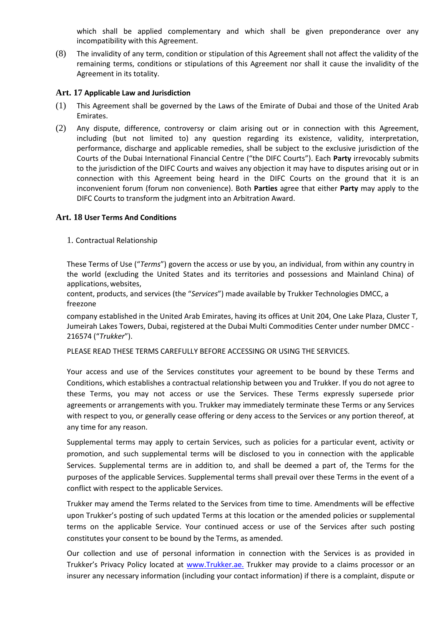which shall be applied complementary and which shall be given preponderance over any incompatibility with this Agreement.

(8) The invalidity of any term, condition or stipulation of this Agreement shall not affect the validity of the remaining terms, conditions or stipulations of this Agreement nor shall it cause the invalidity of the Agreement in its totality.

### **Art. 17 Applicable Law and Jurisdiction**

- (1) This Agreement shall be governed by the Laws of the Emirate of Dubai and those of the United Arab Emirates.
- (2) Any dispute, difference, controversy or claim arising out or in connection with this Agreement, including (but not limited to) any question regarding its existence, validity, interpretation, performance, discharge and applicable remedies, shall be subject to the exclusive jurisdiction of the Courts of the Dubai International Financial Centre ("the DIFC Courts"). Each **Party** irrevocably submits to the jurisdiction of the DIFC Courts and waives any objection it may have to disputes arising out or in connection with this Agreement being heard in the DIFC Courts on the ground that it is an inconvenient forum (forum non convenience). Both **Parties** agree that either **Party** may apply to the DIFC Courts to transform the judgment into an Arbitration Award.

# **Art. 18 User Terms And Conditions**

1. Contractual Relationship

These Terms of Use ("*Terms*") govern the access or use by you, an individual, from within any country in the world (excluding the United States and its territories and possessions and Mainland China) of applications, websites,

content, products, and services (the "*Services*") made available by Trukker Technologies DMCC, a freezone

company established in the United Arab Emirates, having its offices at Unit 204, One Lake Plaza, Cluster T, Jumeirah Lakes Towers, Dubai, registered at the Dubai Multi Commodities Center under number DMCC - 216574 ("*Trukker*").

PLEASE READ THESE TERMS CAREFULLY BEFORE ACCESSING OR USING THE SERVICES.

Your access and use of the Services constitutes your agreement to be bound by these Terms and Conditions, which establishes a contractual relationship between you and Trukker. If you do not agree to these Terms, you may not access or use the Services. These Terms expressly supersede prior agreements or arrangements with you. Trukker may immediately terminate these Terms or any Services with respect to you, or generally cease offering or deny access to the Services or any portion thereof, at any time for any reason.

Supplemental terms may apply to certain Services, such as policies for a particular event, activity or promotion, and such supplemental terms will be disclosed to you in connection with the applicable Services. Supplemental terms are in addition to, and shall be deemed a part of, the Terms for the purposes of the applicable Services. Supplemental terms shall prevail over these Terms in the event of a conflict with respect to the applicable Services.

Trukker may amend the Terms related to the Services from time to time. Amendments will be effective upon Trukker's posting of such updated Terms at this location or the amended policies or supplemental terms on the applicable Service. Your continued access or use of the Services after such posting constitutes your consent to be bound by the Terms, as amended.

Our collection and use of personal information in connection with the Services is as provided in Trukker's Privacy Policy located at [www.Trukker.ae.](http://www.trukker.ae/) Trukker may provide to a claims processor or an insurer any necessary information (including your contact information) if there is a complaint, dispute or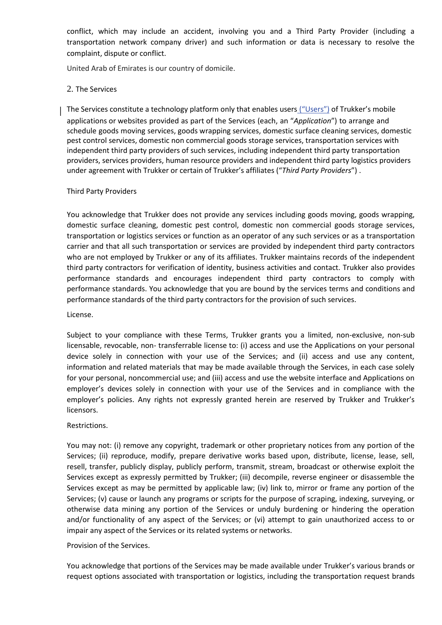conflict, which may include an accident, involving you and a Third Party Provider (including a transportation network company driver) and such information or data is necessary to resolve the complaint, dispute or conflict.

United Arab of Emirates is our country of domicile.

# 2. The Services

The Services constitute a technology platform only that enables users ("Users") of Trukker's mobile applications or websites provided as part of the Services (each, an "*Application*") to arrange and schedule goods moving services, goods wrapping services, domestic surface cleaning services, domestic pest control services, domestic non commercial goods storage services, transportation services with independent third party providers of such services, including independent third party transportation providers, services providers, human resource providers and independent third party logistics providers under agreement with Trukker or certain of Trukker's affiliates ("*Third Party Providers*") .

### Third Party Providers

You acknowledge that Trukker does not provide any services including goods moving, goods wrapping, domestic surface cleaning, domestic pest control, domestic non commercial goods storage services, transportation or logistics services or function as an operator of any such services or as a transportation carrier and that all such transportation or services are provided by independent third party contractors who are not employed by Trukker or any of its affiliates. Trukker maintains records of the independent third party contractors for verification of identity, business activities and contact. Trukker also provides performance standards and encourages independent third party contractors to comply with performance standards. You acknowledge that you are bound by the services terms and conditions and performance standards of the third party contractors for the provision of such services.

#### License.

Subject to your compliance with these Terms, Trukker grants you a limited, non-exclusive, non-sub licensable, revocable, non- transferrable license to: (i) access and use the Applications on your personal device solely in connection with your use of the Services; and (ii) access and use any content, information and related materials that may be made available through the Services, in each case solely for your personal, noncommercial use; and (iii) access and use the website interface and Applications on employer's devices solely in connection with your use of the Services and in compliance with the employer's policies. Any rights not expressly granted herein are reserved by Trukker and Trukker's licensors.

#### Restrictions.

You may not: (i) remove any copyright, trademark or other proprietary notices from any portion of the Services; (ii) reproduce, modify, prepare derivative works based upon, distribute, license, lease, sell, resell, transfer, publicly display, publicly perform, transmit, stream, broadcast or otherwise exploit the Services except as expressly permitted by Trukker; (iii) decompile, reverse engineer or disassemble the Services except as may be permitted by applicable law; (iv) link to, mirror or frame any portion of the Services; (v) cause or launch any programs or scripts for the purpose of scraping, indexing, surveying, or otherwise data mining any portion of the Services or unduly burdening or hindering the operation and/or functionality of any aspect of the Services; or (vi) attempt to gain unauthorized access to or impair any aspect of the Services or its related systems or networks.

#### Provision of the Services.

You acknowledge that portions of the Services may be made available under Trukker's various brands or request options associated with transportation or logistics, including the transportation request brands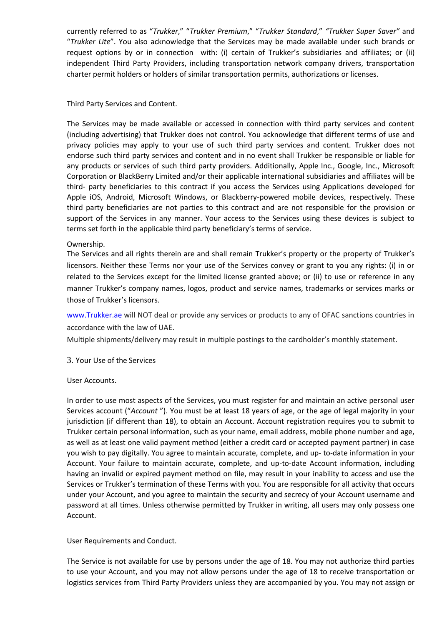currently referred to as "*Trukker*," "*Trukker Premium*," "*Trukker Standard*," *"Trukker Super Saver"* and "*Trukker Lite*". You also acknowledge that the Services may be made available under such brands or request options by or in connection with: (i) certain of Trukker's subsidiaries and affiliates; or (ii) independent Third Party Providers, including transportation network company drivers, transportation charter permit holders or holders of similar transportation permits, authorizations or licenses.

### Third Party Services and Content.

The Services may be made available or accessed in connection with third party services and content (including advertising) that Trukker does not control. You acknowledge that different terms of use and privacy policies may apply to your use of such third party services and content. Trukker does not endorse such third party services and content and in no event shall Trukker be responsible or liable for any products or services of such third party providers. Additionally, Apple Inc., Google, Inc., Microsoft Corporation or BlackBerry Limited and/or their applicable international subsidiaries and affiliates will be third- party beneficiaries to this contract if you access the Services using Applications developed for Apple iOS, Android, Microsoft Windows, or Blackberry-powered mobile devices, respectively. These third party beneficiaries are not parties to this contract and are not responsible for the provision or support of the Services in any manner. Your access to the Services using these devices is subject to terms set forth in the applicable third party beneficiary's terms of service.

### Ownership.

The Services and all rights therein are and shall remain Trukker's property or the property of Trukker's licensors. Neither these Terms nor your use of the Services convey or grant to you any rights: (i) in or related to the Services except for the limited license granted above; or (ii) to use or reference in any manner Trukker's company names, logos, product and service names, trademarks or services marks or those of Trukker's licensors.

[www.Trukker.ae](http://www.trukker.ae/) will NOT deal or provide any services or products to any of OFAC sanctions countries in accordance with the law of UAE.

Multiple shipments/delivery may result in multiple postings to the cardholder's monthly statement.

#### 3. Your Use of the Services

#### User Accounts.

In order to use most aspects of the Services, you must register for and maintain an active personal user Services account ("*Account* "). You must be at least 18 years of age, or the age of legal majority in your jurisdiction (if different than 18), to obtain an Account. Account registration requires you to submit to Trukker certain personal information, such as your name, email address, mobile phone number and age, as well as at least one valid payment method (either a credit card or accepted payment partner) in case you wish to pay digitally. You agree to maintain accurate, complete, and up- to-date information in your Account. Your failure to maintain accurate, complete, and up-to-date Account information, including having an invalid or expired payment method on file, may result in your inability to access and use the Services or Trukker's termination of these Terms with you. You are responsible for all activity that occurs under your Account, and you agree to maintain the security and secrecy of your Account username and password at all times. Unless otherwise permitted by Trukker in writing, all users may only possess one Account.

# User Requirements and Conduct.

The Service is not available for use by persons under the age of 18. You may not authorize third parties to use your Account, and you may not allow persons under the age of 18 to receive transportation or logistics services from Third Party Providers unless they are accompanied by you. You may not assign or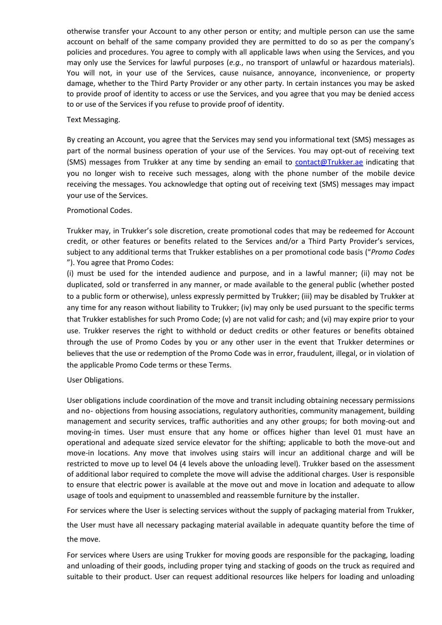otherwise transfer your Account to any other person or entity; and multiple person can use the same account on behalf of the same company provided they are permitted to do so as per the company's policies and procedures. You agree to comply with all applicable laws when using the Services, and you may only use the Services for lawful purposes (*e.g.*, no transport of unlawful or hazardous materials). You will not, in your use of the Services, cause nuisance, annoyance, inconvenience, or property damage, whether to the Third Party Provider or any other party. In certain instances you may be asked to provide proof of identity to access or use the Services, and you agree that you may be denied access to or use of the Services if you refuse to provide proof of identity.

#### Text Messaging.

By creating an Account, you agree that the Services may send you informational text (SMS) messages as part of the normal business operation of your use of the Services. You may opt-out of receiving text (SMS) messages from Trukker at any time by sending an-email to [contact@Trukker.ae](mailto:contact@trukker.ae) indicating that you no longer wish to receive such messages, along with the phone number of the mobile device receiving the messages. You acknowledge that opting out of receiving text (SMS) messages may impact your use of the Services.

# Promotional Codes.

Trukker may, in Trukker's sole discretion, create promotional codes that may be redeemed for Account credit, or other features or benefits related to the Services and/or a Third Party Provider's services, subject to any additional terms that Trukker establishes on a per promotional code basis ("*Promo Codes*  "). You agree that Promo Codes:

(i) must be used for the intended audience and purpose, and in a lawful manner; (ii) may not be duplicated, sold or transferred in any manner, or made available to the general public (whether posted to a public form or otherwise), unless expressly permitted by Trukker; (iii) may be disabled by Trukker at any time for any reason without liability to Trukker; (iv) may only be used pursuant to the specific terms that Trukker establishes for such Promo Code; (v) are not valid for cash; and (vi) may expire prior to your use. Trukker reserves the right to withhold or deduct credits or other features or benefits obtained through the use of Promo Codes by you or any other user in the event that Trukker determines or believes that the use or redemption of the Promo Code was in error, fraudulent, illegal, or in violation of the applicable Promo Code terms or these Terms.

#### User Obligations.

User obligations include coordination of the move and transit including obtaining necessary permissions and no- objections from housing associations, regulatory authorities, community management, building management and security services, traffic authorities and any other groups; for both moving-out and moving-in times. User must ensure that any home or offices higher than level 01 must have an operational and adequate sized service elevator for the shifting; applicable to both the move-out and move-in locations. Any move that involves using stairs will incur an additional charge and will be restricted to move up to level 04 (4 levels above the unloading level). Trukker based on the assessment of additional labor required to complete the move will advise the additional charges. User is responsible to ensure that electric power is available at the move out and move in location and adequate to allow usage of tools and equipment to unassembled and reassemble furniture by the installer.

For services where the User is selecting services without the supply of packaging material from Trukker,

the User must have all necessary packaging material available in adequate quantity before the time of the move.

For services where Users are using Trukker for moving goods are responsible for the packaging, loading and unloading of their goods, including proper tying and stacking of goods on the truck as required and suitable to their product. User can request additional resources like helpers for loading and unloading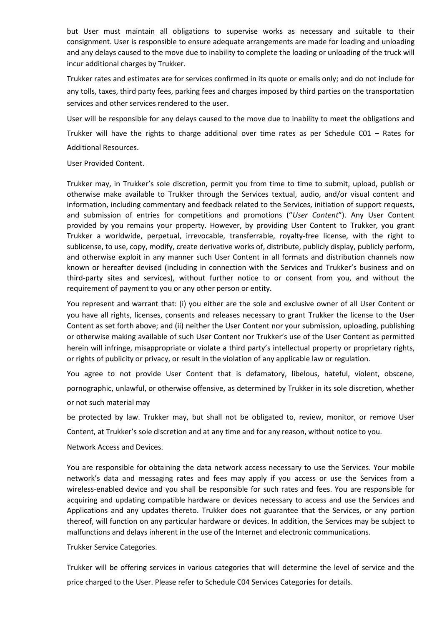but User must maintain all obligations to supervise works as necessary and suitable to their consignment. User is responsible to ensure adequate arrangements are made for loading and unloading and any delays caused to the move due to inability to complete the loading or unloading of the truck will incur additional charges by Trukker.

Trukker rates and estimates are for services confirmed in its quote or emails only; and do not include for any tolls, taxes, third party fees, parking fees and charges imposed by third parties on the transportation services and other services rendered to the user.

User will be responsible for any delays caused to the move due to inability to meet the obligations and Trukker will have the rights to charge additional over time rates as per Schedule C01 – Rates for Additional Resources.

User Provided Content.

Trukker may, in Trukker's sole discretion, permit you from time to time to submit, upload, publish or otherwise make available to Trukker through the Services textual, audio, and/or visual content and information, including commentary and feedback related to the Services, initiation of support requests, and submission of entries for competitions and promotions ("*User Content*"). Any User Content provided by you remains your property. However, by providing User Content to Trukker, you grant Trukker a worldwide, perpetual, irrevocable, transferrable, royalty-free license, with the right to sublicense, to use, copy, modify, create derivative works of, distribute, publicly display, publicly perform, and otherwise exploit in any manner such User Content in all formats and distribution channels now known or hereafter devised (including in connection with the Services and Trukker's business and on third-party sites and services), without further notice to or consent from you, and without the requirement of payment to you or any other person or entity.

You represent and warrant that: (i) you either are the sole and exclusive owner of all User Content or you have all rights, licenses, consents and releases necessary to grant Trukker the license to the User Content as set forth above; and (ii) neither the User Content nor your submission, uploading, publishing or otherwise making available of such User Content nor Trukker's use of the User Content as permitted herein will infringe, misappropriate or violate a third party's intellectual property or proprietary rights, or rights of publicity or privacy, or result in the violation of any applicable law or regulation.

You agree to not provide User Content that is defamatory, libelous, hateful, violent, obscene, pornographic, unlawful, or otherwise offensive, as determined by Trukker in its sole discretion, whether or not such material may

be protected by law. Trukker may, but shall not be obligated to, review, monitor, or remove User Content, at Trukker's sole discretion and at any time and for any reason, without notice to you.

Network Access and Devices.

You are responsible for obtaining the data network access necessary to use the Services. Your mobile network's data and messaging rates and fees may apply if you access or use the Services from a wireless-enabled device and you shall be responsible for such rates and fees. You are responsible for acquiring and updating compatible hardware or devices necessary to access and use the Services and Applications and any updates thereto. Trukker does not guarantee that the Services, or any portion thereof, will function on any particular hardware or devices. In addition, the Services may be subject to malfunctions and delays inherent in the use of the Internet and electronic communications.

Trukker Service Categories.

Trukker will be offering services in various categories that will determine the level of service and the price charged to the User. Please refer to Schedule C04 Services Categories for details.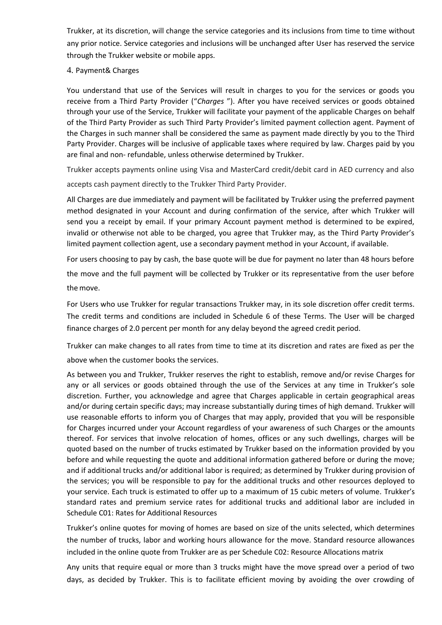Trukker, at its discretion, will change the service categories and its inclusions from time to time without any prior notice. Service categories and inclusions will be unchanged after User has reserved the service through the Trukker website or mobile apps.

4. Payment& Charges

You understand that use of the Services will result in charges to you for the services or goods you receive from a Third Party Provider ("*Charges* "). After you have received services or goods obtained through your use of the Service, Trukker will facilitate your payment of the applicable Charges on behalf of the Third Party Provider as such Third Party Provider's limited payment collection agent. Payment of the Charges in such manner shall be considered the same as payment made directly by you to the Third Party Provider. Charges will be inclusive of applicable taxes where required by law. Charges paid by you are final and non- refundable, unless otherwise determined by Trukker.

Trukker accepts payments online using Visa and MasterCard credit/debit card in AED currency and also accepts cash payment directly to the Trukker Third Party Provider.

All Charges are due immediately and payment will be facilitated by Trukker using the preferred payment method designated in your Account and during confirmation of the service, after which Trukker will send you a receipt by email. If your primary Account payment method is determined to be expired, invalid or otherwise not able to be charged, you agree that Trukker may, as the Third Party Provider's limited payment collection agent, use a secondary payment method in your Account, if available.

For users choosing to pay by cash, the base quote will be due for payment no later than 48 hours before the move and the full payment will be collected by Trukker or its representative from the user before the move.

For Users who use Trukker for regular transactions Trukker may, in its sole discretion offer credit terms. The credit terms and conditions are included in Schedule 6 of these Terms. The User will be charged finance charges of 2.0 percent per month for any delay beyond the agreed credit period.

Trukker can make changes to all rates from time to time at its discretion and rates are fixed as per the above when the customer books the services.

As between you and Trukker, Trukker reserves the right to establish, remove and/or revise Charges for any or all services or goods obtained through the use of the Services at any time in Trukker's sole discretion. Further, you acknowledge and agree that Charges applicable in certain geographical areas and/or during certain specific days; may increase substantially during times of high demand. Trukker will use reasonable efforts to inform you of Charges that may apply, provided that you will be responsible for Charges incurred under your Account regardless of your awareness of such Charges or the amounts thereof. For services that involve relocation of homes, offices or any such dwellings, charges will be quoted based on the number of trucks estimated by Trukker based on the information provided by you before and while requesting the quote and additional information gathered before or during the move; and if additional trucks and/or additional labor is required; as determined by Trukker during provision of the services; you will be responsible to pay for the additional trucks and other resources deployed to your service. Each truck is estimated to offer up to a maximum of 15 cubic meters of volume. Trukker's standard rates and premium service rates for additional trucks and additional labor are included in Schedule C01: Rates for Additional Resources

Trukker's online quotes for moving of homes are based on size of the units selected, which determines the number of trucks, labor and working hours allowance for the move. Standard resource allowances included in the online quote from Trukker are as per Schedule C02: Resource Allocations matrix

Any units that require equal or more than 3 trucks might have the move spread over a period of two days, as decided by Trukker. This is to facilitate efficient moving by avoiding the over crowding of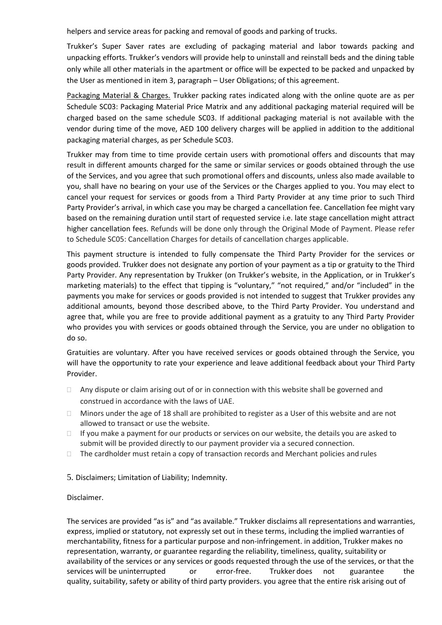helpers and service areas for packing and removal of goods and parking of trucks.

Trukker's Super Saver rates are excluding of packaging material and labor towards packing and unpacking efforts. Trukker's vendors will provide help to uninstall and reinstall beds and the dining table only while all other materials in the apartment or office will be expected to be packed and unpacked by the User as mentioned in item 3, paragraph – User Obligations; of this agreement.

Packaging Material & Charges. Trukker packing rates indicated along with the online quote are as per Schedule SC03: Packaging Material Price Matrix and any additional packaging material required will be charged based on the same schedule SC03. If additional packaging material is not available with the vendor during time of the move, AED 100 delivery charges will be applied in addition to the additional packaging material charges, as per Schedule SC03.

Trukker may from time to time provide certain users with promotional offers and discounts that may result in different amounts charged for the same or similar services or goods obtained through the use of the Services, and you agree that such promotional offers and discounts, unless also made available to you, shall have no bearing on your use of the Services or the Charges applied to you. You may elect to cancel your request for services or goods from a Third Party Provider at any time prior to such Third Party Provider's arrival, in which case you may be charged a cancellation fee. Cancellation fee might vary based on the remaining duration until start of requested service i.e. late stage cancellation might attract higher cancellation fees. Refunds will be done only through the Original Mode of Payment. Please refer to Schedule SC05: Cancellation Charges for details of cancellation charges applicable.

This payment structure is intended to fully compensate the Third Party Provider for the services or goods provided. Trukker does not designate any portion of your payment as a tip or gratuity to the Third Party Provider. Any representation by Trukker (on Trukker's website, in the Application, or in Trukker's marketing materials) to the effect that tipping is "voluntary," "not required," and/or "included" in the payments you make for services or goods provided is not intended to suggest that Trukker provides any additional amounts, beyond those described above, to the Third Party Provider. You understand and agree that, while you are free to provide additional payment as a gratuity to any Third Party Provider who provides you with services or goods obtained through the Service, you are under no obligation to do so.

Gratuities are voluntary. After you have received services or goods obtained through the Service, you will have the opportunity to rate your experience and leave additional feedback about your Third Party Provider.

- $\Box$  Any dispute or claim arising out of or in connection with this website shall be governed and construed in accordance with the laws of UAE.
- $\Box$  Minors under the age of 18 shall are prohibited to register as a User of this website and are not allowed to transact or use the website.
- $\Box$  If you make a payment for our products or services on our website, the details you are asked to submit will be provided directly to our payment provider via a secured connection.
- $\Box$  The cardholder must retain a copy of transaction records and Merchant policies and rules
- 5. Disclaimers; Limitation of Liability; Indemnity.

#### Disclaimer.

The services are provided "as is" and "as available." Trukker disclaims all representations and warranties, express, implied or statutory, not expressly set out in these terms, including the implied warranties of merchantability, fitness for a particular purpose and non-infringement. in addition, Trukker makes no representation, warranty, or guarantee regarding the reliability, timeliness, quality, suitability or availability of the services or any services or goods requested through the use of the services, or that the services will be uninterrupted or error-free. Trukker does not guarantee the quality, suitability, safety or ability of third party providers. you agree that the entire risk arising out of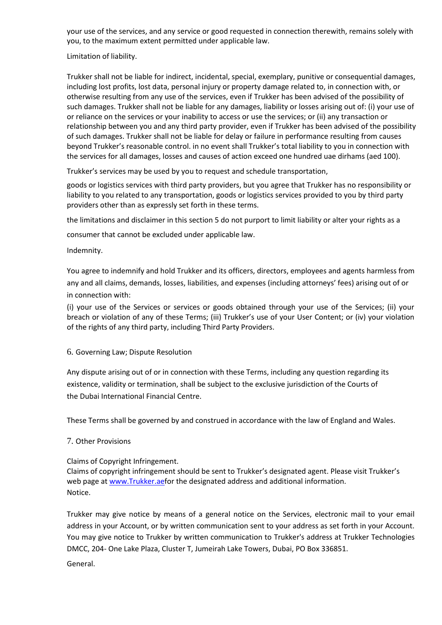your use of the services, and any service or good requested in connection therewith, remains solely with you, to the maximum extent permitted under applicable law.

Limitation of liability.

Trukker shall not be liable for indirect, incidental, special, exemplary, punitive or consequential damages, including lost profits, lost data, personal injury or property damage related to, in connection with, or otherwise resulting from any use of the services, even if Trukker has been advised of the possibility of such damages. Trukker shall not be liable for any damages, liability or losses arising out of: (i) your use of or reliance on the services or your inability to access or use the services; or (ii) any transaction or relationship between you and any third party provider, even if Trukker has been advised of the possibility of such damages. Trukker shall not be liable for delay or failure in performance resulting from causes beyond Trukker's reasonable control. in no event shall Trukker's total liability to you in connection with the services for all damages, losses and causes of action exceed one hundred uae dirhams (aed 100).

Trukker's services may be used by you to request and schedule transportation,

goods or logistics services with third party providers, but you agree that Trukker has no responsibility or liability to you related to any transportation, goods or logistics services provided to you by third party providers other than as expressly set forth in these terms.

the limitations and disclaimer in this section 5 do not purport to limit liability or alter your rights as a

consumer that cannot be excluded under applicable law.

### Indemnity.

You agree to indemnify and hold Trukker and its officers, directors, employees and agents harmless from any and all claims, demands, losses, liabilities, and expenses (including attorneys' fees) arising out of or in connection with:

(i) your use of the Services or services or goods obtained through your use of the Services; (ii) your breach or violation of any of these Terms; (iii) Trukker's use of your User Content; or (iv) your violation of the rights of any third party, including Third Party Providers.

# 6. Governing Law; Dispute Resolution

Any dispute arising out of or in connection with these Terms, including any question regarding its existence, validity or termination, shall be subject to the exclusive jurisdiction of the Courts of the Dubai International Financial Centre.

These Terms shall be governed by and construed in accordance with the law of England and Wales.

# 7. Other Provisions

# Claims of Copyright Infringement.

Claims of copyright infringement should be sent to Trukker's designated agent. Please visit Trukker's web page at [www.Trukker.aefor t](http://www.trukker.aefor/)he designated address and additional information. Notice.

Trukker may give notice by means of a general notice on the Services, electronic mail to your email address in your Account, or by written communication sent to your address as set forth in your Account. You may give notice to Trukker by written communication to Trukker's address at Trukker Technologies DMCC, 204- One Lake Plaza, Cluster T, Jumeirah Lake Towers, Dubai, PO Box 336851.

# General.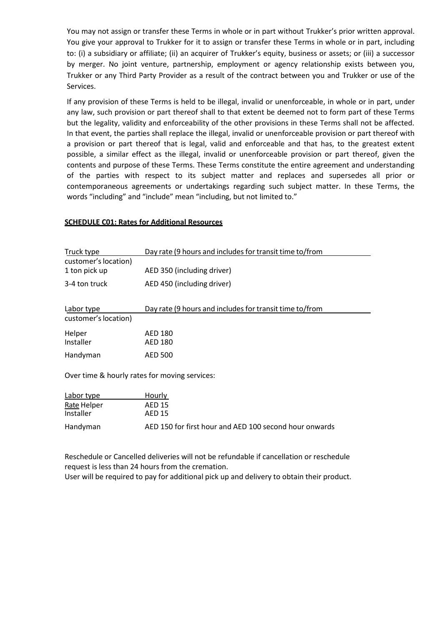You may not assign or transfer these Terms in whole or in part without Trukker's prior written approval. You give your approval to Trukker for it to assign or transfer these Terms in whole or in part, including to: (i) a subsidiary or affiliate; (ii) an acquirer of Trukker's equity, business or assets; or (iii) a successor by merger. No joint venture, partnership, employment or agency relationship exists between you, Trukker or any Third Party Provider as a result of the contract between you and Trukker or use of the Services.

If any provision of these Terms is held to be illegal, invalid or unenforceable, in whole or in part, under any law, such provision or part thereof shall to that extent be deemed not to form part of these Terms but the legality, validity and enforceability of the other provisions in these Terms shall not be affected. In that event, the parties shall replace the illegal, invalid or unenforceable provision or part thereof with a provision or part thereof that is legal, valid and enforceable and that has, to the greatest extent possible, a similar effect as the illegal, invalid or unenforceable provision or part thereof, given the contents and purpose of these Terms. These Terms constitute the entire agreement and understanding of the parties with respect to its subject matter and replaces and supersedes all prior or contemporaneous agreements or undertakings regarding such subject matter. In these Terms, the words "including" and "include" mean "including, but not limited to."

#### **SCHEDULE C01: Rates for Additional Resources**

| Truck type                                    | Day rate (9 hours and includes for transit time to/from |  |  |
|-----------------------------------------------|---------------------------------------------------------|--|--|
| customer's location)                          |                                                         |  |  |
| 1 ton pick up                                 | AED 350 (including driver)                              |  |  |
| 3-4 ton truck                                 | AED 450 (including driver)                              |  |  |
| Labor type                                    | Day rate (9 hours and includes for transit time to/from |  |  |
| customer's location)                          |                                                         |  |  |
| Helper                                        | <b>AED 180</b>                                          |  |  |
| Installer                                     | <b>AED 180</b>                                          |  |  |
| Handyman                                      | <b>AED 500</b>                                          |  |  |
| Over time & hourly rates for moving services: |                                                         |  |  |
| Labor type<br>Hourly                          |                                                         |  |  |
| Rate Helper                                   | <b>AED 15</b>                                           |  |  |
| Installer                                     | <b>AED 15</b>                                           |  |  |

Reschedule or Cancelled deliveries will not be refundable if cancellation or reschedule request is less than 24 hours from the cremation.

Handyman AED 150 for first hour and AED 100 second hour onwards

User will be required to pay for additional pick up and delivery to obtain their product.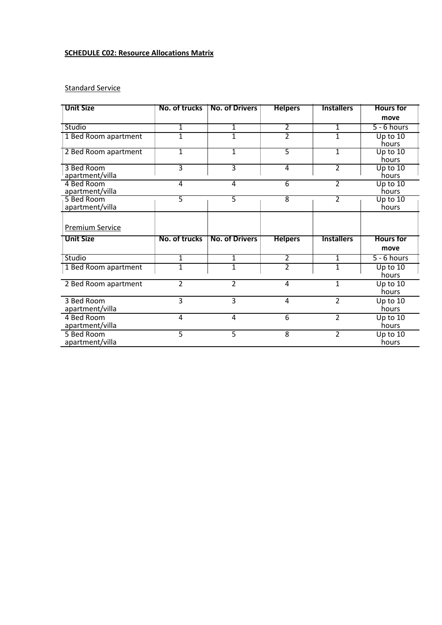# **SCHEDULE C02: Resource Allocations Matrix**

# **Standard Service**

| <b>Unit Size</b>              | No. of trucks | <b>No. of Drivers</b> | <b>Helpers</b> | <b>Installers</b> | <b>Hours</b> for    |
|-------------------------------|---------------|-----------------------|----------------|-------------------|---------------------|
|                               |               |                       |                |                   | move                |
| Studio                        | 1             | 1                     | $\overline{2}$ | $\overline{1}$    | $5 - 6$ hours       |
| 1 Bed Room apartment          | 1             | $\mathbf{1}$          | $\overline{2}$ | $\overline{1}$    | Up to $10$          |
|                               |               |                       |                |                   | hours               |
| 2 Bed Room apartment          | $\mathbf{1}$  | $\mathbf{1}$          | $\overline{5}$ | $\overline{1}$    | Up to $10$          |
|                               |               |                       |                |                   | hours               |
| 3 Bed Room                    | 3             | $\overline{3}$        | 4              | $\overline{2}$    | Up to $10$          |
| apartment/villa               |               |                       |                |                   | hours               |
| 4 Bed Room                    | 4             | 4                     | 6              | $\overline{2}$    | Up to $10$<br>hours |
| apartment/villa<br>5 Bed Room | 5             | 5                     | 8              | $\overline{2}$    | Up to $10$          |
| apartment/villa               |               |                       |                |                   | hours               |
|                               |               |                       |                |                   |                     |
|                               |               |                       |                |                   |                     |
| <b>Premium Service</b>        |               |                       |                |                   |                     |
| <b>Unit Size</b>              | No. of trucks | <b>No. of Drivers</b> | <b>Helpers</b> | <b>Installers</b> | <b>Hours</b> for    |
|                               |               |                       |                |                   | move                |
| Studio                        | 1             | 1                     | 2              | 1                 | $5 - 6$ hours       |
| 1 Bed Room apartment          | 1             | $\mathbf{1}$          | $\overline{2}$ | $\mathbf{1}$      | Up to 10            |
|                               |               |                       |                |                   | hours               |
| 2 Bed Room apartment          | 2             | $\overline{2}$        | 4              | $\mathbf{1}$      | Up to 10            |
|                               |               |                       |                |                   | hours               |
| 3 Bed Room                    | 3             | 3                     | 4              | $\overline{2}$    | Up to 10            |
| apartment/villa               |               |                       |                |                   | hours               |
| 4 Bed Room                    | 4             | $\overline{4}$        | 6              | $\overline{2}$    | Up to 10            |
| apartment/villa               |               |                       |                |                   | hours               |
| 5 Bed Room                    | 5             | 5                     | $\overline{8}$ | $\overline{2}$    | Up to $10$          |
| apartment/villa               |               |                       |                |                   | hours               |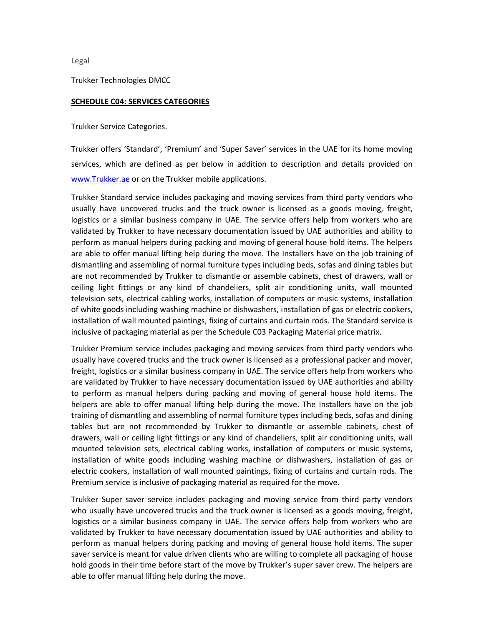Legal

Trukker Technologies DMCC

#### **SCHEDULE C04: SERVICES CATEGORIES**

Trukker Service Categories.

Trukker offers 'Standard', 'Premium' and 'Super Saver' services in the UAE for its home moving services, which are defined as per below in addition to description and details provided on [www.Trukker.ae](http://www.trukker.ae/) or on the Trukker mobile applications.

Trukker Standard service includes packaging and moving services from third party vendors who usually have uncovered trucks and the truck owner is licensed as a goods moving, freight, logistics or a similar business company in UAE. The service offers help from workers who are validated by Trukker to have necessary documentation issued by UAE authorities and ability to perform as manual helpers during packing and moving of general house hold items. The helpers are able to offer manual lifting help during the move. The Installers have on the job training of dismantling and assembling of normal furniture types including beds, sofas and dining tables but are not recommended by Trukker to dismantle or assemble cabinets, chest of drawers, wall or ceiling light fittings or any kind of chandeliers, split air conditioning units, wall mounted television sets, electrical cabling works, installation of computers or music systems, installation of white goods including washing machine or dishwashers, installation of gas or electric cookers, installation of wall mounted paintings, fixing of curtains and curtain rods. The Standard service is inclusive of packaging material as per the Schedule C03 Packaging Material price matrix.

Trukker Premium service includes packaging and moving services from third party vendors who usually have covered trucks and the truck owner is licensed as a professional packer and mover, freight, logistics or a similar business company in UAE. The service offers help from workers who are validated by Trukker to have necessary documentation issued by UAE authorities and ability to perform as manual helpers during packing and moving of general house hold items. The helpers are able to offer manual lifting help during the move. The Installers have on the job training of dismantling and assembling of normal furniture types including beds, sofas and dining tables but are not recommended by Trukker to dismantle or assemble cabinets, chest of drawers, wall or ceiling light fittings or any kind of chandeliers, split air conditioning units, wall mounted television sets, electrical cabling works, installation of computers or music systems, installation of white goods including washing machine or dishwashers, installation of gas or electric cookers, installation of wall mounted paintings, fixing of curtains and curtain rods. The Premium service is inclusive of packaging material as required for the move.

Trukker Super saver service includes packaging and moving service from third party vendors who usually have uncovered trucks and the truck owner is licensed as a goods moving, freight, logistics or a similar business company in UAE. The service offers help from workers who are validated by Trukker to have necessary documentation issued by UAE authorities and ability to perform as manual helpers during packing and moving of general house hold items. The super saver service is meant for value driven clients who are willing to complete all packaging of house hold goods in their time before start of the move by Trukker's super saver crew. The helpers are able to offer manual lifting help during the move.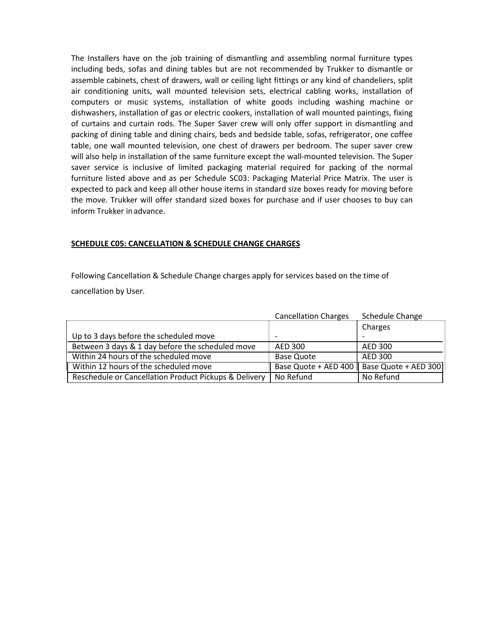The Installers have on the job training of dismantling and assembling normal furniture types including beds, sofas and dining tables but are not recommended by Trukker to dismantle or assemble cabinets, chest of drawers, wall or ceiling light fittings or any kind of chandeliers, split air conditioning units, wall mounted television sets, electrical cabling works, installation of computers or music systems, installation of white goods including washing machine or dishwashers, installation of gas or electric cookers, installation of wall mounted paintings, fixing of curtains and curtain rods. The Super Saver crew will only offer support in dismantling and packing of dining table and dining chairs, beds and bedside table, sofas, refrigerator, one coffee table, one wall mounted television, one chest of drawers per bedroom. The super saver crew will also help in installation of the same furniture except the wall-mounted television. The Super saver service is inclusive of limited packaging material required for packing of the normal furniture listed above and as per Schedule SC03: Packaging Material Price Matrix. The user is expected to pack and keep all other house items in standard size boxes ready for moving before the move. Trukker will offer standard sized boxes for purchase and if user chooses to buy can inform Trukker in advance.

#### **SCHEDULE C05: CANCELLATION & SCHEDULE CHANGE CHARGES**

Following Cancellation & Schedule Change charges apply for services based on the time of cancellation by User.

|                                                       | <b>Cancellation Charges</b>      | Schedule Change      |
|-------------------------------------------------------|----------------------------------|----------------------|
|                                                       |                                  | Charges              |
| Up to 3 days before the scheduled move                |                                  |                      |
| Between 3 days & 1 day before the scheduled move      | AED 300                          | AED 300              |
| Within 24 hours of the scheduled move                 | <b>Base Quote</b>                | AED 300              |
| Within 12 hours of the scheduled move                 | Base Quote + AED 400 $\parallel$ | Base Quote + AED 300 |
| Reschedule or Cancellation Product Pickups & Delivery | No Refund                        | No Refund            |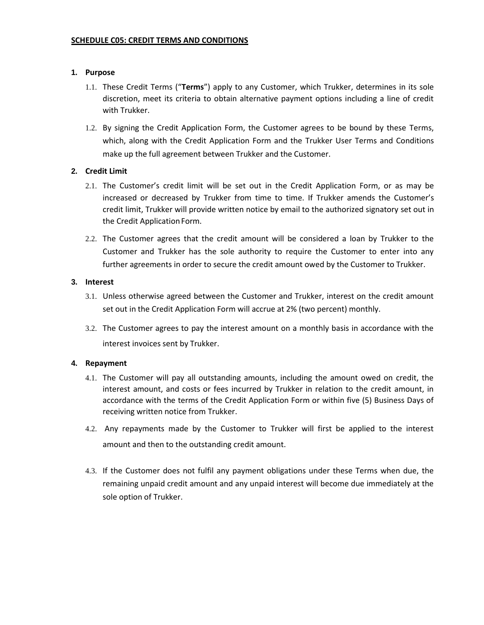### **1. Purpose**

- 1.1. These Credit Terms ("**Terms**") apply to any Customer, which Trukker, determines in its sole discretion, meet its criteria to obtain alternative payment options including a line of credit with Trukker.
- 1.2. By signing the Credit Application Form, the Customer agrees to be bound by these Terms, which, along with the Credit Application Form and the Trukker User Terms and Conditions make up the full agreement between Trukker and the Customer.

# **2. Credit Limit**

- 2.1. The Customer's credit limit will be set out in the Credit Application Form, or as may be increased or decreased by Trukker from time to time. If Trukker amends the Customer's credit limit, Trukker will provide written notice by email to the authorized signatory set out in the Credit Application Form.
- 2.2. The Customer agrees that the credit amount will be considered a loan by Trukker to the Customer and Trukker has the sole authority to require the Customer to enter into any further agreements in order to secure the credit amount owed by the Customer to Trukker.

### **3. Interest**

- 3.1. Unless otherwise agreed between the Customer and Trukker, interest on the credit amount set out in the Credit Application Form will accrue at 2% (two percent) monthly.
- 3.2. The Customer agrees to pay the interest amount on a monthly basis in accordance with the interest invoices sent by Trukker.

#### **4. Repayment**

- 4.1. The Customer will pay all outstanding amounts, including the amount owed on credit, the interest amount, and costs or fees incurred by Trukker in relation to the credit amount, in accordance with the terms of the Credit Application Form or within five (5) Business Days of receiving written notice from Trukker.
- 4.2. Any repayments made by the Customer to Trukker will first be applied to the interest amount and then to the outstanding credit amount.
- 4.3. If the Customer does not fulfil any payment obligations under these Terms when due, the remaining unpaid credit amount and any unpaid interest will become due immediately at the sole option of Trukker.